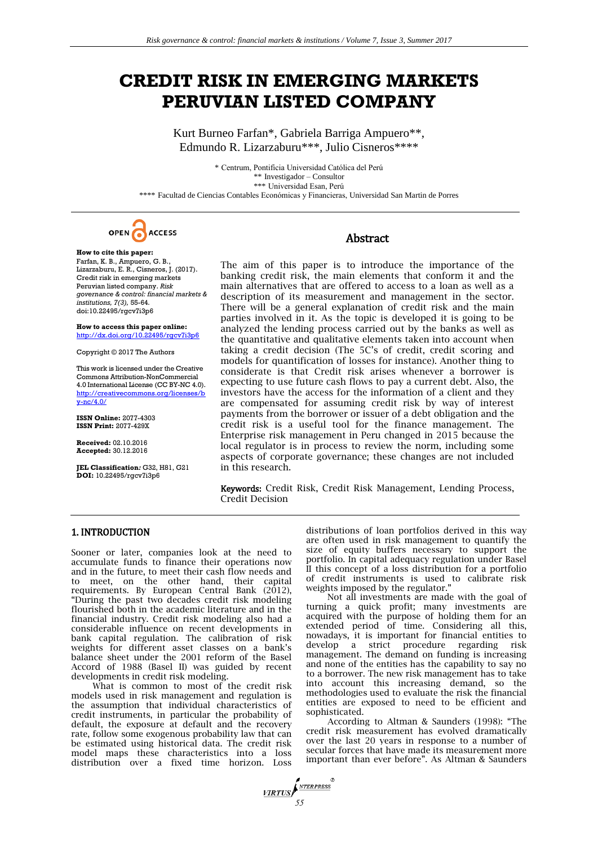# **CREDIT RISK IN EMERGING MARKETS PERUVIAN LISTED COMPANY**

Kurt Burneo Farfan\*, Gabriela Barriga Ampuero\*\*, Edmundo R. Lizarzaburu\*\*\*, Julio Cisneros\*\*\*\*

\* Centrum, Pontificia Universidad Católica del Perú \*\* Investigador – Consultor \*\*\* Universidad Esan, Perú \*\*\*\* Facultad de Ciencias Contables Económicas y Financieras, Universidad San Martin de Porres



**How to cite this paper:**  Farfan, K. B., Ampuero, G. B., Lizarzaburu, E. R., Cisneros, J. (2017). Credit risk in emerging markets Peruvian listed company. *Risk governance & control: financial markets & institutions, 7(3),* 55-64*.* doi:10.22495/rgcv7i3p6

**How to access this paper online:** <http://dx.doi.org/10.22495/rgcv7i3p6>

Copyright © 2017 The Authors

This work is licensed under the Creative Commons Attribution-NonCommercial 4.0 International License (CC BY-NC 4.0). http://creativecommons.org/lice [y-nc/4.0/](http://creativecommons.org/licenses/by-nc/4.0/)

**ISSN Online:** 2077-4303 **ISSN Print:** 2077-429X

**Received:** 02.10.2016 **Accepted:** 30.12.2016

**JEL Classification***:* G32, H81, G21 **DOI:** 10.22495/rgcv7i3p6

# Abstract

The aim of this paper is to introduce the importance of the banking credit risk, the main elements that conform it and the main alternatives that are offered to access to a loan as well as a description of its measurement and management in the sector. There will be a general explanation of credit risk and the main parties involved in it. As the topic is developed it is going to be analyzed the lending process carried out by the banks as well as the quantitative and qualitative elements taken into account when taking a credit decision (The 5C's of credit, credit scoring and models for quantification of losses for instance). Another thing to considerate is that Credit risk arises whenever a borrower is expecting to use future cash flows to pay a current debt. Also, the investors have the access for the information of a client and they are compensated for assuming credit risk by way of interest payments from the borrower or issuer of a debt obligation and the credit risk is a useful tool for the finance management. The Enterprise risk management in Peru changed in 2015 because the local regulator is in process to review the norm, including some aspects of corporate governance; these changes are not included in this research.

Keywords: Credit Risk, Credit Risk Management, Lending Process, Credit Decision

# 1. INTRODUCTION

Sooner or later, companies look at the need to accumulate funds to finance their operations now and in the future, to meet their cash flow needs and to meet, on the other hand, their capital requirements. By European Central Bank (2012), "During the past two decades credit risk modeling flourished both in the academic literature and in the financial industry. Credit risk modeling also had a considerable influence on recent developments in bank capital regulation. The calibration of risk weights for different asset classes on a bank's balance sheet under the 2001 reform of the Basel Accord of 1988 (Basel II) was guided by recent developments in credit risk modeling.

What is common to most of the credit risk models used in risk management and regulation is the assumption that individual characteristics of credit instruments, in particular the probability of default, the exposure at default and the recovery rate, follow some exogenous probability law that can be estimated using historical data. The credit risk model maps these characteristics into a loss distribution over a fixed time horizon. Loss

distributions of loan portfolios derived in this way are often used in risk management to quantify the size of equity buffers necessary to support the portfolio. In capital adequacy regulation under Basel II this concept of a loss distribution for a portfolio of credit instruments is used to calibrate risk weights imposed by the regulator."

Not all investments are made with the goal of turning a quick profit; many investments are acquired with the purpose of holding them for an extended period of time. Considering all this, nowadays, it is important for financial entities to develop a strict procedure regarding risk management. The demand on funding is increasing and none of the entities has the capability to say no to a borrower. The new risk management has to take into account this increasing demand, so the methodologies used to evaluate the risk the financial entities are exposed to need to be efficient and sophisticated.

According to Altman & Saunders (1998): "The credit risk measurement has evolved dramatically over the last 20 years in response to a number of secular forces that have made its measurement more important than ever before". As Altman & Saunders

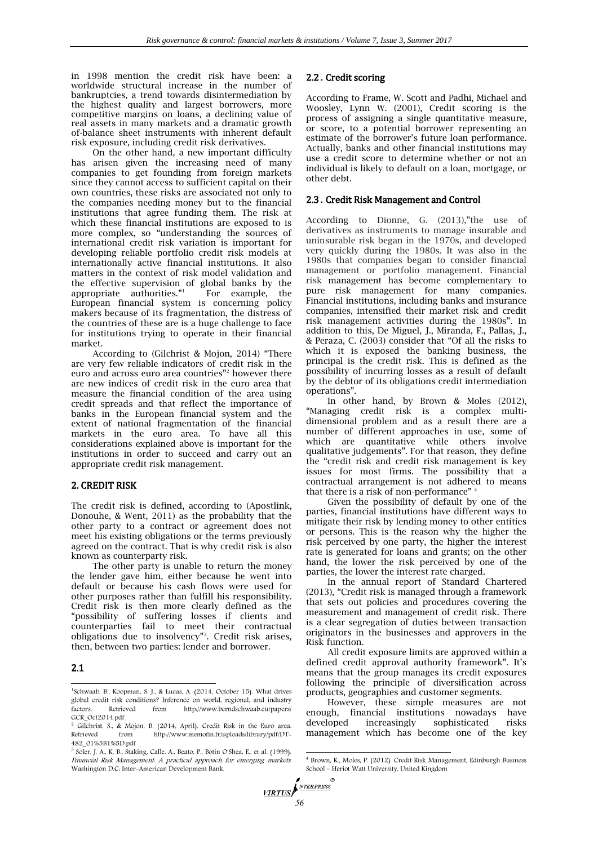in 1998 mention the credit risk have been: a worldwide structural increase in the number of bankruptcies, a trend towards disintermediation by the highest quality and largest borrowers, more competitive margins on loans, a declining value of real assets in many markets and a dramatic growth of-balance sheet instruments with inherent default risk exposure, including credit risk derivatives.

On the other hand, a new important difficulty has arisen given the increasing need of many companies to get founding from foreign markets since they cannot access to sufficient capital on their own countries, these risks are associated not only to the companies needing money but to the financial institutions that agree funding them. The risk at which these financial institutions are exposed to is more complex, so "understanding the sources of international credit risk variation is important for developing reliable portfolio credit risk models at internationally active financial institutions. It also matters in the context of risk model validation and the effective supervision of global banks by the appropriate authorities."<sup>1</sup> For example, the European financial system is concerning policy makers because of its fragmentation, the distress of the countries of these are is a huge challenge to face for institutions trying to operate in their financial market.

According to (Gilchrist & Mojon, 2014) "There are very few reliable indicators of credit risk in the euro and across euro area countries"<sup>2</sup> however there are new indices of credit risk in the euro area that measure the financial condition of the area using credit spreads and that reflect the importance of banks in the European financial system and the extent of national fragmentation of the financial markets in the euro area. To have all this considerations explained above is important for the institutions in order to succeed and carry out an appropriate credit risk management.

# 2. CREDIT RISK

The credit risk is defined, according to (Apostlink, Donouhe, & Went, 2011) as the probability that the other party to a contract or agreement does not meet his existing obligations or the terms previously agreed on the contract. That is why credit risk is also known as counterparty risk.

The other party is unable to return the money the lender gave him, either because he went into default or because his cash flows were used for other purposes rather than fulfill his responsibility. Credit risk is then more clearly defined as the "possibility of suffering losses if clients and counterparties fail to meet their contractual obligations due to insolvency"<sup>3</sup> . Credit risk arises, then, between two parties: lender and borrower.

# 2.1  $\overline{a}$

# 2.2 **.** Credit scoring

According to Frame, W. Scott and Padhi, Michael and Woosley, Lynn W. (2001), Credit scoring is the process of assigning a single quantitative measure, or score, to a potential borrower representing an estimate of the borrower's future loan performance. Actually, banks and other financial institutions may use a credit score to determine whether or not an individual is likely to default on a loan, mortgage, or other debt.

#### 2.3 **.** Credit Risk Management and Control

According to Dionne, G. (2013),"the use of derivatives as instruments to manage insurable and uninsurable risk began in the 1970s, and developed very quickly during the 1980s. It was also in the 1980s that companies began to consider financial management or portfolio management. Financial risk management has become complementary to pure risk management for many companies. Financial institutions, including banks and insurance companies, intensified their market risk and credit risk management activities during the 1980s". In addition to this, De Miguel, J., Miranda, F., Pallas, J., & Peraza, C. (2003) consider that "Of all the risks to which it is exposed the banking business, the principal is the credit risk. This is defined as the possibility of incurring losses as a result of default by the debtor of its obligations credit intermediation operations".

In other hand, by Brown & Moles (2012), "Managing credit risk is a complex multidimensional problem and as a result there are a number of different approaches in use, some of which are quantitative while others involve qualitative judgements". For that reason, they define the "credit risk and credit risk management is key issues for most firms. The possibility that a contractual arrangement is not adhered to means that there is a risk of non-performance"

Given the possibility of default by one of the parties, financial institutions have different ways to mitigate their risk by lending money to other entities or persons. This is the reason why the higher the risk perceived by one party, the higher the interest rate is generated for loans and grants; on the other hand, the lower the risk perceived by one of the parties, the lower the interest rate charged.

In the annual report of Standard Chartered (2013), "Credit risk is managed through a framework that sets out policies and procedures covering the measurement and management of credit risk. There is a clear segregation of duties between transaction originators in the businesses and approvers in the Risk function.

All credit exposure limits are approved within a defined credit approval authority framework". It's means that the group manages its credit exposures following the principle of diversification across products, geographies and customer segments.

However, these simple measures are not enough, financial institutions nowadays have developed increasingly sophisticated risks management which has become one of the key

NTERPRESS **VIRTUS** 

 $\mathbb{R}$ 

<sup>1</sup> Schwaab, B., Koopman, S. J., & Lucas, A. (2014, October 15). What drives global credit risk conditions? Inference on world, regional, and industry factors. Retrieved from http://www.berndschwaab.eu/papers/ <http://www.berndschwaab.eu/papers/>

GCR\_Oct2014.pdf <sup>2</sup> Gilchrist, S., & Mojon, B. (2014, April). Credit Risk in the Euro area. Retrieved from http://www.memofin.fr/uploads/library/pdf/DT-482\_01%5B1%5D.pdf

 $3$  Soler, J. A., K. B., Staking, Calle, A., Beato, P., Botín O'Shea, E., et al. (1999). Financial Risk Management: A practical approach for emerging markets. Washington D.C: Inter-American Development Bank.

<sup>1</sup> 4 Brown, K., Moles, P. (2012). Credit Risk Management, Edinburgh Business School – Heriot Watt University, United Kingdom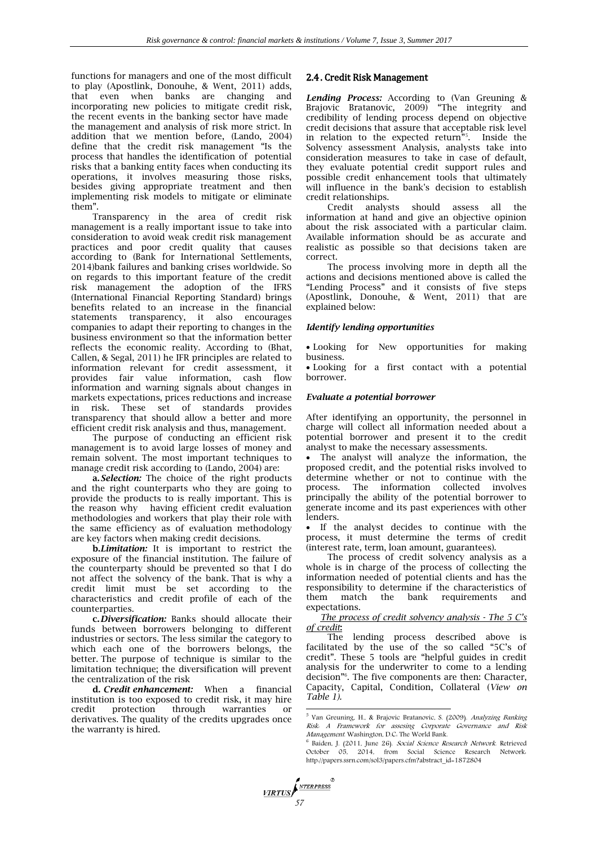functions for managers and one of the most difficult to play (Apostlink, Donouhe, & Went, 2011) adds, that even when banks are changing and incorporating new policies to mitigate credit risk, the recent events in the banking sector have made the management and analysis of risk more strict. In addition that we mention before, (Lando, 2004) define that the credit risk management "Is the process that handles the identification of potential risks that a banking entity faces when conducting its operations, it involves measuring those risks, besides giving appropriate treatment and then implementing risk models to mitigate or eliminate them".

Transparency in the area of credit risk management is a really important issue to take into consideration to avoid weak credit risk management practices and poor credit quality that causes according to (Bank for International Settlements, 2014)bank failures and banking crises worldwide. So on regards to this important feature of the credit risk management the adoption of the IFRS (International Financial Reporting Standard) brings benefits related to an increase in the financial statements transparency, it also encourages companies to adapt their reporting to changes in the business environment so that the information better reflects the economic reality. According to (Bhat, Callen, & Segal, 2011) he IFR principles are related to information relevant for credit assessment, it provides fair value information, cash flow information and warning signals about changes in markets expectations, prices reductions and increase in risk. These set of standards provides transparency that should allow a better and more efficient credit risk analysis and thus, management.

The purpose of conducting an efficient risk management is to avoid large losses of money and remain solvent. The most important techniques to manage credit risk according to (Lando, 2004) are:

**a.***Selection:* The choice of the right products and the right counterparts who they are going to provide the products to is really important. This is the reason why having efficient credit evaluation methodologies and workers that play their role with the same efficiency as of evaluation methodology are key factors when making credit decisions.

**b.***Limitation:* It is important to restrict the exposure of the financial institution. The failure of the counterparty should be prevented so that I do not affect the solvency of the bank. That is why a credit limit must be set according to the characteristics and credit profile of each of the counterparties.

**c.***Diversification:* Banks should allocate their funds between borrowers belonging to different industries or sectors. The less similar the category to which each one of the borrowers belongs, the better. The purpose of technique is similar to the limitation technique; the diversification will prevent the centralization of the risk

**d.** *Credit enhancement:* When a financial institution is too exposed to credit risk, it may hire credit protection through warranties or derivatives. The quality of the credits upgrades once the warranty is hired.

# 2.4. Credit Risk Management

*Lending Process:* According to (Van Greuning & Brajovic Bratanovic, 2009) "The integrity and credibility of lending process depend on objective credit decisions that assure that acceptable risk level in relation to the expected return"<sup>5</sup> . Inside the Solvency assessment Analysis, analysts take into consideration measures to take in case of default, they evaluate potential credit support rules and possible credit enhancement tools that ultimately will influence in the bank's decision to establish credit relationships.

Credit analysts should assess all the information at hand and give an objective opinion about the risk associated with a particular claim. Available information should be as accurate and realistic as possible so that decisions taken are correct.

The process involving more in depth all the actions and decisions mentioned above is called the "Lending Process" and it consists of five steps (Apostlink, Donouhe, & Went, 2011) that are explained below:

#### *Identify lending opportunities*

 Looking for New opportunities for making business.

 Looking for a first contact with a potential borrower.

#### *Evaluate a potential borrower*

After identifying an opportunity, the personnel in charge will collect all information needed about a potential borrower and present it to the credit analyst to make the necessary assessments.

 The analyst will analyze the information, the proposed credit, and the potential risks involved to determine whether or not to continue with the process. The information collected involves principally the ability of the potential borrower to generate income and its past experiences with other lenders.

 If the analyst decides to continue with the process, it must determine the terms of credit (interest rate, term, loan amount, guarantees).

The process of credit solvency analysis as a whole is in charge of the process of collecting the information needed of potential clients and has the responsibility to determine if the characteristics of them match the bank requirements expectations.

*The process of credit solvency analysis - The 5 C's of credit***:** 

The lending process described above is facilitated by the use of the so called "5C's of credit". These 5 tools are "helpful guides in credit analysis for the underwriter to come to a lending decision"<sup>6</sup> . The five components are then: Character, Capacity, Capital, Condition, Collateral (*View on Table 1).*

*57*

1

<sup>&</sup>lt;sup>5</sup> Van Greuning, H., & Brajovic Bratanovic, S. (2009). Analyzing Banking Risk: A Framework for assesing Corporate Governance and Risk Management. Washington, D.C: The World Bank.

<sup>&</sup>lt;sup>6</sup> Baiden, J. (2011, June 26). Social Science Research Network. Retrieved October 05, 2014, from Social Science Research Network: [http://papers.ssrn.com/sol3/papers.cfm?abstract\\_id=1872804](http://papers.ssrn.com/sol3/papers.cfm?abstract_id=1872804)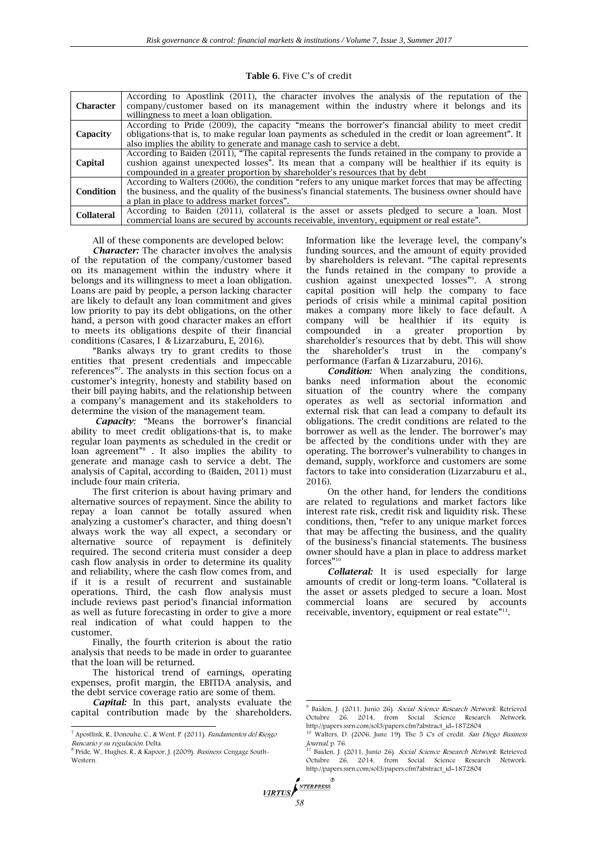| <b>Character</b>  | According to Apostlink (2011), the character involves the analysis of the reputation of the<br>company/customer based on its management within the industry where it belongs and its<br>willingness to meet a loan obligation. |
|-------------------|--------------------------------------------------------------------------------------------------------------------------------------------------------------------------------------------------------------------------------|
|                   |                                                                                                                                                                                                                                |
|                   | According to Pride (2009), the capacity "means the borrower's financial ability to meet credit                                                                                                                                 |
| Capacity          | obligations-that is, to make regular loan payments as scheduled in the credit or loan agreement". It                                                                                                                           |
|                   | also implies the ability to generate and manage cash to service a debt.                                                                                                                                                        |
|                   |                                                                                                                                                                                                                                |
|                   | According to Baiden (2011), "The capital represents the funds retained in the company to provide a                                                                                                                             |
| Capital           | cushion against unexpected losses". Its mean that a company will be healthier if its equity is                                                                                                                                 |
|                   | compounded in a greater proportion by shareholder's resources that by debt                                                                                                                                                     |
|                   |                                                                                                                                                                                                                                |
|                   | According to Walters (2006), the condition "refers to any unique market forces that may be affecting                                                                                                                           |
| Condition         | the business, and the quality of the business's financial statements. The business owner should have                                                                                                                           |
|                   | a plan in place to address market forces".                                                                                                                                                                                     |
|                   |                                                                                                                                                                                                                                |
| <b>Collateral</b> | According to Baiden (2011), collateral is the asset or assets pledged to secure a loan. Most                                                                                                                                   |
|                   | commercial loans are secured by accounts receivable, inventory, equipment or real estate".                                                                                                                                     |

**Table 6**. Five C's of credit

All of these components are developed below:

*Character:* The character involves the analysis of the reputation of the company/customer based on its management within the industry where it belongs and its willingness to meet a loan obligation. Loans are paid by people, a person lacking character are likely to default any loan commitment and gives low priority to pay its debt obligations, on the other hand, a person with good character makes an effort to meets its obligations despite of their financial conditions (Casares, I & Lizarzaburu, E, 2016).

"Banks always try to grant credits to those entities that present credentials and impeccable references"<sup>7</sup> . The analysts in this section focus on a customer's integrity, honesty and stability based on their bill paying habits, and the relationship between a company's management and its stakeholders to determine the vision of the management team.

*Capacity:* "Means the borrower's financial ability to meet credit obligations-that is, to make regular loan payments as scheduled in the credit or loan agreement"<sup>8</sup> . It also implies the ability to generate and manage cash to service a debt. The analysis of Capital, according to (Baiden, 2011) must include four main criteria.

The first criterion is about having primary and alternative sources of repayment. Since the ability to repay a loan cannot be totally assured when analyzing a customer's character, and thing doesn't always work the way all expect, a secondary or alternative source of repayment is definitely required. The second criteria must consider a deep cash flow analysis in order to determine its quality and reliability, where the cash flow comes from, and if it is a result of recurrent and sustainable operations. Third, the cash flow analysis must include reviews past period's financial information as well as future forecasting in order to give a more real indication of what could happen to the customer.

Finally, the fourth criterion is about the ratio analysis that needs to be made in order to guarantee that the loan will be returned.

The historical trend of earnings, operating expenses, profit margin, the EBITDA analysis, and the debt service coverage ratio are some of them.

*Capital:* In this part, analysts evaluate the capital contribution made by the shareholders.

 $\overline{a}$ 

Information like the leverage level, the company's funding sources, and the amount of equity provided by shareholders is relevant. "The capital represents the funds retained in the company to provide a cushion against unexpected losses"<sup>9</sup> . A strong capital position will help the company to face periods of crisis while a minimal capital position makes a company more likely to face default. A company will be healthier if its equity is compounded in a greater proportion by shareholder's resources that by debt. This will show the shareholder's trust in the company's performance (Farfan & Lizarzaburu, 2016).

*Condition:* When analyzing the conditions, banks need information about the economic situation of the country where the company operates as well as sectorial information and external risk that can lead a company to default its obligations. The credit conditions are related to the borrower as well as the lender. The borrower's may be affected by the conditions under with they are operating. The borrower's vulnerability to changes in demand, supply, workforce and customers are some factors to take into consideration (Lizarzaburu et al., 2016).

On the other hand, for lenders the conditions are related to regulations and market factors like interest rate risk, credit risk and liquidity risk. These conditions, then, "refer to any unique market forces that may be affecting the business, and the quality of the business's financial statements. The business owner should have a plan in place to address market forces"<sup>10</sup>

*Collateral:* It is used especially for large amounts of credit or long-term loans. "Collateral is the asset or assets pledged to secure a loan. Most commercial loans are secured by accounts receivable, inventory, equipment or real estate"<sup>11</sup>.

1

```
58
```
<sup>7</sup> Apostlink, R., Donouhe, C., & Went, P. (2011). Fundamentos del Riesgo Bancario y su regulación. Delta.

<sup>&</sup>lt;sup>8</sup> Pride, W., Hughes, R., & Kapoor, J. (2009). *Business.* Cengage South-Western.

<sup>&</sup>lt;sup>9</sup> Baiden, J. (2011, Junio 26). Social Science Research Network. Retrieved Octubre 26, 2014, from Social Science Research Network: http://papers.ssrn.com/sol3/papers.cfm?abstract\_id=1872804

<sup>&</sup>lt;sup>10</sup> Walters, D. (2006, June 19). The 5 C's of credit. San Diego Business Journal, p. 76.

<sup>&</sup>lt;sup>11</sup> Baiden, J. (2011, Junio 26). Social Science Research Network. Retrieved Octubre 26, 2014, from Social Science Research Network: http://papers.ssrn.com/sol3/papers.cfm?abstract\_id=1872804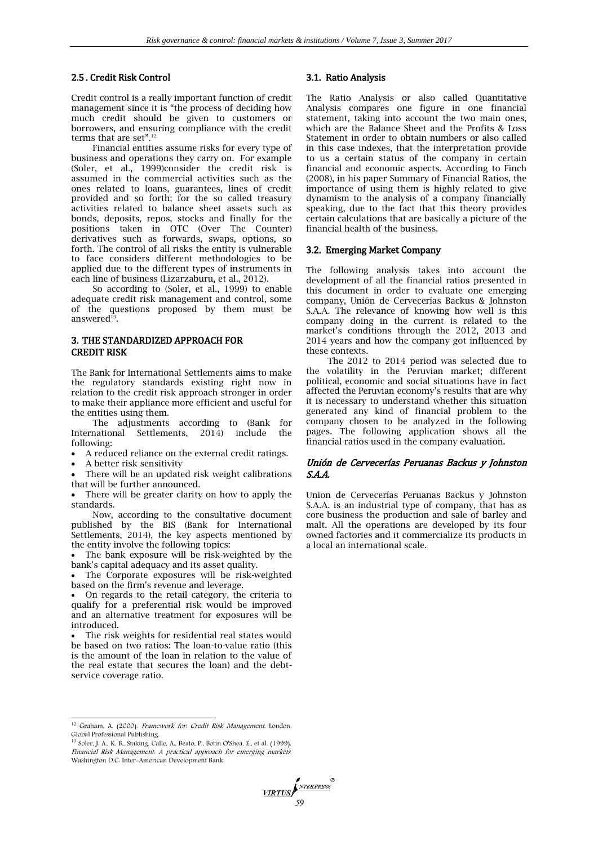## 2.5 . Credit Risk Control

Credit control is a really important function of credit management since it is "the process of deciding how much credit should be given to customers or borrowers, and ensuring compliance with the credit terms that are set".<sup>12</sup>

Financial entities assume risks for every type of business and operations they carry on. For example (Soler, et al., 1999)consider the credit risk is assumed in the commercial activities such as the ones related to loans, guarantees, lines of credit provided and so forth; for the so called treasury activities related to balance sheet assets such as bonds, deposits, repos, stocks and finally for the positions taken in OTC (Over The Counter) derivatives such as forwards, swaps, options, so forth. The control of all risks the entity is vulnerable to face considers different methodologies to be applied due to the different types of instruments in each line of business (Lizarzaburu, et al., 2012).

So according to (Soler, et al., 1999) to enable adequate credit risk management and control, some of the questions proposed by them must be answered $^{13}$ .

# 3. THE STANDARDIZED APPROACH FOR CREDIT RISK

The Bank for International Settlements aims to make the regulatory standards existing right now in relation to the credit risk approach stronger in order to make their appliance more efficient and useful for the entities using them.

The adjustments according to (Bank for International Settlements, 2014) include the following:

- A reduced reliance on the external credit ratings.
- A better risk sensitivity

 $\overline{a}$ 

 There will be an updated risk weight calibrations that will be further announced.

 There will be greater clarity on how to apply the standards.

Now, according to the consultative document published by the BIS (Bank for International Settlements, 2014), the key aspects mentioned by the entity involve the following topics:

 The bank exposure will be risk-weighted by the bank's capital adequacy and its asset quality.

 The Corporate exposures will be risk-weighted based on the firm's revenue and leverage.

 On regards to the retail category, the criteria to qualify for a preferential risk would be improved and an alternative treatment for exposures will be introduced.

 The risk weights for residential real states would be based on two ratios: The loan-to-value ratio (this is the amount of the loan in relation to the value of the real estate that secures the loan) and the debtservice coverage ratio.

# 3.1. Ratio Analysis

The Ratio Analysis or also called Quantitative Analysis compares one figure in one financial statement, taking into account the two main ones, which are the Balance Sheet and the Profits & Loss Statement in order to obtain numbers or also called in this case indexes, that the interpretation provide to us a certain status of the company in certain financial and economic aspects. According to Finch (2008), in his paper Summary of Financial Ratios, the importance of using them is highly related to give dynamism to the analysis of a company financially speaking, due to the fact that this theory provides certain calculations that are basically a picture of the financial health of the business.

#### 3.2. Emerging Market Company

The following analysis takes into account the development of all the financial ratios presented in this document in order to evaluate one emerging company, Unión de Cervecerías Backus & Johnston S.A.A. The relevance of knowing how well is this company doing in the current is related to the market's conditions through the 2012, 2013 and 2014 years and how the company got influenced by these contexts.

The 2012 to 2014 period was selected due to the volatility in the Peruvian market; different political, economic and social situations have in fact affected the Peruvian economy's results that are why it is necessary to understand whether this situation generated any kind of financial problem to the company chosen to be analyzed in the following pages. The following application shows all the financial ratios used in the company evaluation.

## Unión de Cervecerías Peruanas Backus y Johnston S.A.A.

Union de Cervecerías Peruanas Backus y Johnston S.A.A. is an industrial type of company, that has as core business the production and sale of barley and malt. All the operations are developed by its four owned factories and it commercialize its products in a local an international scale.

**FIRTUS** 

<sup>&</sup>lt;sup>12</sup> Graham, A. (2000). *Framework for: Credit Risk Management*. London:

Global Professional Publishing.<br><sup>13</sup> Soler, J. A., K. B., Staking, Calle, A., Beato, P., Botín O'Shea, E., et al. (1999). Financial Risk Management: A practical approach for emerging markets. Washington D.C: Inter-American Development Bank.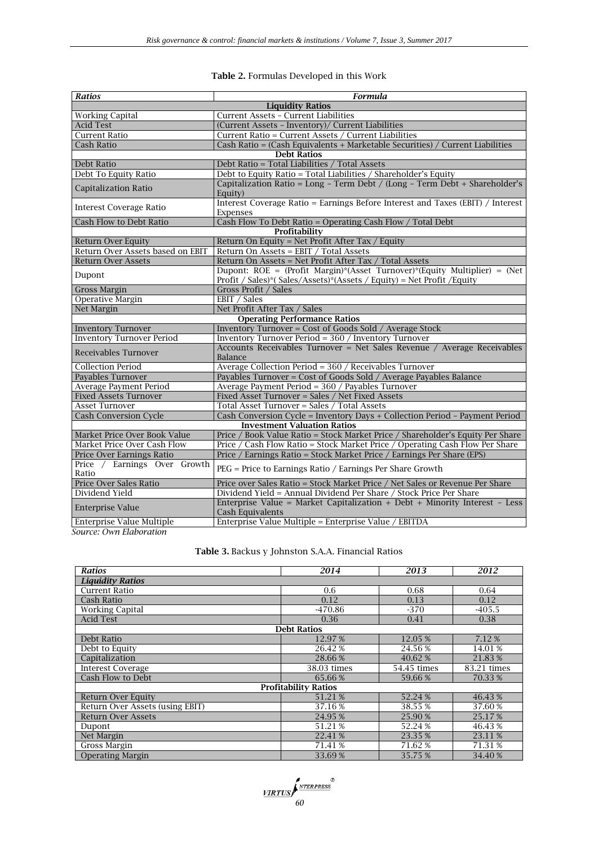# **Table 2.** Formulas Developed in this Work

| <b>Ratios</b>                         | <b>Formula</b>                                                                                 |  |  |  |  |
|---------------------------------------|------------------------------------------------------------------------------------------------|--|--|--|--|
| <b>Liquidity Ratios</b>               |                                                                                                |  |  |  |  |
| <b>Working Capital</b>                | Current Assets - Current Liabilities                                                           |  |  |  |  |
| <b>Acid Test</b>                      | (Current Assets - Inventory)/ Current Liabilities                                              |  |  |  |  |
| <b>Current Ratio</b>                  | Current Ratio = Current Assets / Current Liabilities                                           |  |  |  |  |
| Cash Ratio                            | Cash Ratio = (Cash Equivalents + Marketable Securities) / Current Liabilities                  |  |  |  |  |
|                                       | <b>Debt Ratios</b>                                                                             |  |  |  |  |
| Debt Ratio                            | Debt Ratio = Total Liabilities / Total Assets                                                  |  |  |  |  |
| Debt To Equity Ratio                  | Debt to Equity Ratio = Total Liabilities / Shareholder's Equity                                |  |  |  |  |
| Capitalization Ratio                  | Capitalization Ratio = Long - Term Debt / (Long - Term Debt + Shareholder's<br>Equity)         |  |  |  |  |
| <b>Interest Coverage Ratio</b>        | Interest Coverage Ratio = Earnings Before Interest and Taxes (EBIT) / Interest<br>Expenses     |  |  |  |  |
| Cash Flow to Debt Ratio               | Cash Flow To Debt Ratio = Operating Cash Flow / Total Debt                                     |  |  |  |  |
|                                       | Profitability                                                                                  |  |  |  |  |
| <b>Return Over Equity</b>             | Return On Equity = Net Profit After Tax / Equity                                               |  |  |  |  |
| Return Over Assets based on EBIT      | Return On Assets = EBIT / Total Assets                                                         |  |  |  |  |
| <b>Return Over Assets</b>             | Return On Assets = Net Profit After Tax / Total Assets                                         |  |  |  |  |
| Dupont                                | Dupont: $ROE = (Profit Margin)*(Asset Turnover)*(Equity Multiplier) = (Net$                    |  |  |  |  |
|                                       | Profit / Sales)*( Sales/Assets)*(Assets / Equity) = Net Profit / Equity                        |  |  |  |  |
| <b>Gross Margin</b>                   | Gross Profit / Sales                                                                           |  |  |  |  |
| Operative Margin                      | EBIT / Sales                                                                                   |  |  |  |  |
| Net Margin                            | Net Profit After Tax / Sales<br><b>Operating Performance Ratios</b>                            |  |  |  |  |
| <b>Inventory Turnover</b>             | <b>Inventory Turnover = Cost of Goods Sold / Average Stock</b>                                 |  |  |  |  |
| <b>Inventory Turnover Period</b>      | Inventory Turnover Period = 360 / Inventory Turnover                                           |  |  |  |  |
|                                       | Accounts Receivables Turnover = Net Sales Revenue / Average Receivables                        |  |  |  |  |
| Receivables Turnover                  | Balance                                                                                        |  |  |  |  |
| <b>Collection Period</b>              | Average Collection Period = 360 / Receivables Turnover                                         |  |  |  |  |
| Payables Turnover                     | Payables Turnover = Cost of Goods Sold / Average Payables Balance                              |  |  |  |  |
| Average Payment Period                | Average Payment Period = 360 / Payables Turnover                                               |  |  |  |  |
| <b>Fixed Assets Turnover</b>          | Fixed Asset Turnover = Sales / Net Fixed Assets                                                |  |  |  |  |
| <b>Asset Turnover</b>                 | Total Asset Turnover = Sales / Total Assets                                                    |  |  |  |  |
| <b>Cash Conversion Cycle</b>          | Cash Conversion Cycle = Inventory Days + Collection Period - Payment Period                    |  |  |  |  |
| <b>Investment Valuation Ratios</b>    |                                                                                                |  |  |  |  |
| Market Price Over Book Value          | Price / Book Value Ratio = Stock Market Price / Shareholder's Equity Per Share                 |  |  |  |  |
| Market Price Over Cash Flow           | Price / Cash Flow Ratio = Stock Market Price / Operating Cash Flow Per Share                   |  |  |  |  |
| Price Over Earnings Ratio             | Price / Earnings Ratio = Stock Market Price / Earnings Per Share (EPS)                         |  |  |  |  |
| Price / Earnings Over Growth<br>Ratio | PEG = Price to Earnings Ratio / Earnings Per Share Growth                                      |  |  |  |  |
| Price Over Sales Ratio                | Price over Sales Ratio = Stock Market Price / Net Sales or Revenue Per Share                   |  |  |  |  |
| Dividend Yield                        | Dividend Yield = Annual Dividend Per Share / Stock Price Per Share                             |  |  |  |  |
| <b>Enterprise Value</b>               | Enterprise Value = Market Capitalization + Debt + Minority Interest - Less<br>Cash Equivalents |  |  |  |  |
| Enterprise Value Multiple             | Enterprise Value Multiple = Enterprise Value / EBITDA                                          |  |  |  |  |

*Source: Own Elaboration*

# **Table 3.** Backus y Johnston S.A.A. Financial Ratios

| <b>Ratios</b>                   | 2014               | 2013        | 2012        |  |  |
|---------------------------------|--------------------|-------------|-------------|--|--|
| <b>Liquidity Ratios</b>         |                    |             |             |  |  |
| Current Ratio                   | 0.6                | 0.68        | 0.64        |  |  |
| Cash Ratio                      | 0.12               | 0.13        | 0.12        |  |  |
| <b>Working Capital</b>          | $-470.86$          | $-370$      | $-405.5$    |  |  |
| <b>Acid Test</b>                | 0.36               | 0.41        | 0.38        |  |  |
|                                 | <b>Debt Ratios</b> |             |             |  |  |
| Debt Ratio                      | 12.97%             | 12.05 %     | 7.12 %      |  |  |
| Debt to Equity                  | 26.42 %            | 24.56%      | 14.01%      |  |  |
| Capitalization                  | 28.66%             | 40.62 %     | 21.83 %     |  |  |
| <b>Interest Coverage</b>        | 38.03 times        | 54.45 times | 83.21 times |  |  |
| Cash Flow to Debt               | 65.66%             | 59.66%      | 70.33 %     |  |  |
| <b>Profitability Ratios</b>     |                    |             |             |  |  |
| <b>Return Over Equity</b>       | 51.21 %            | 52.24 %     | 46.43 %     |  |  |
| Return Over Assets (using EBIT) | 37.16 %            | 38.55 %     | 37.60 %     |  |  |
| <b>Return Over Assets</b>       | 24.95 %            | 25.90 %     | 25.17%      |  |  |
| Dupont                          | 51.21 %            | 52.24 %     | 46.43 %     |  |  |
| Net Margin                      | 22.41 %            | 23.35 %     | 23.11 %     |  |  |
| Gross Margin                    | 71.41 %            | 71.62 %     | 71.31 %     |  |  |
| <b>Operating Margin</b>         | 33.69%             | 35.75 %     | 34.40%      |  |  |

**VIRTUS** *MTERPRESS*<sup>®</sup><br>60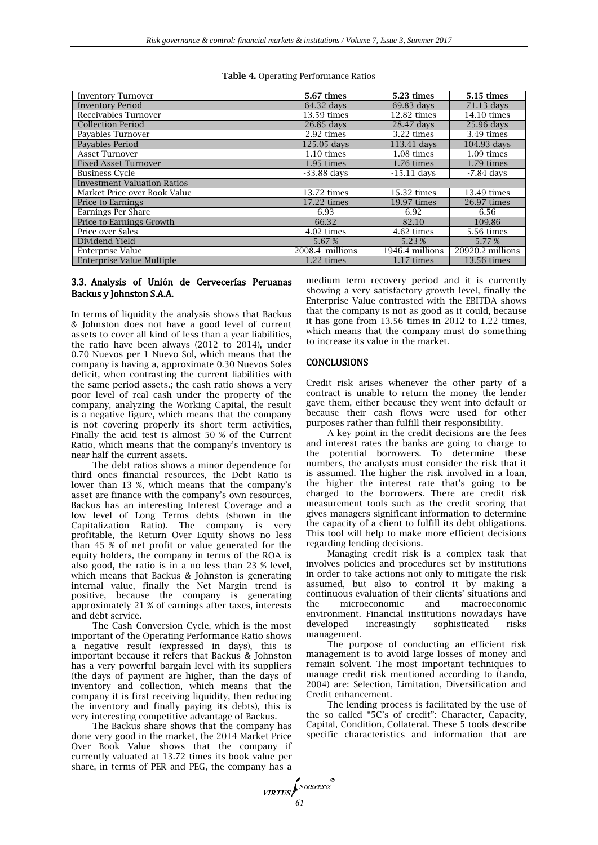#### **Table 4.** Operating Performance Ratios

| <b>Inventory Turnover</b>          | 5.67 times      | 5.23 times           | <b>5.15 times</b>    |  |
|------------------------------------|-----------------|----------------------|----------------------|--|
| <b>Inventory Period</b>            | 64.32 days      | 69.83 days           | 71.13 days           |  |
| Receivables Turnover               | 13.59 times     | 12.82 times          | 14.10 times          |  |
| <b>Collection Period</b>           | 26.85 days      | 28.47 days           | 25.96 days           |  |
| Payables Turnover                  | 2.92 times      | 3.22 times           | 3.49 times           |  |
| Pavables Period                    | 125.05 days     | 113.41 days          | 104.93 days          |  |
| Asset Turnover                     | $1.10 \times$   | 1.08 times           | $1.09 \text{ times}$ |  |
| <b>Fixed Asset Turnover</b>        | $1.95 \;$ times | 1.76 times           | $1.79 \text{ times}$ |  |
| <b>Business Cycle</b>              | $-33.88$ days   | $-15.11$ days        | $-7.84$ days         |  |
| <b>Investment Valuation Ratios</b> |                 |                      |                      |  |
| Market Price over Book Value       | 13.72 times     | 15.32 times          | 13.49 times          |  |
| Price to Earnings                  | 17.22 times     | 19.97 times          | 26.97 times          |  |
| Earnings Per Share                 | 6.93            | 6.92                 | 6.56                 |  |
| Price to Earnings Growth           | 66.32           | 82.10                | 109.86               |  |
| Price over Sales                   | 4.02 times      | 4.62 times           | 5.56 times           |  |
| Dividend Yield                     | 5.67%           | 5.23 %               | 5.77%                |  |
| Enterprise Value                   | 2008.4 millions | 1946.4 millions      | 20920.2 millions     |  |
| <b>Enterprise Value Multiple</b>   | 1.22 times      | $1.17 \text{ times}$ | 13.56 times          |  |

# 3.3. Analysis of Unión de Cervecerías Peruanas Backus y Johnston S.A.A.

In terms of liquidity the analysis shows that Backus & Johnston does not have a good level of current assets to cover all kind of less than a year liabilities, the ratio have been always (2012 to 2014), under 0.70 Nuevos per 1 Nuevo Sol, which means that the company is having a, approximate 0.30 Nuevos Soles deficit, when contrasting the current liabilities with the same period assets.; the cash ratio shows a very poor level of real cash under the property of the company, analyzing the Working Capital, the result is a negative figure, which means that the company is not covering properly its short term activities, Finally the acid test is almost 50 % of the Current Ratio, which means that the company's inventory is near half the current assets.

The debt ratios shows a minor dependence for third ones financial resources, the Debt Ratio is lower than 13 %, which means that the company's asset are finance with the company's own resources, Backus has an interesting Interest Coverage and a low level of Long Terms debts (shown in the Capitalization Ratio). The company is very profitable, the Return Over Equity shows no less than 45 % of net profit or value generated for the equity holders, the company in terms of the ROA is also good, the ratio is in a no less than 23 % level, which means that Backus & Johnston is generating internal value, finally the Net Margin trend is positive, because the company is generating approximately 21 % of earnings after taxes, interests and debt service.

The Cash Conversion Cycle, which is the most important of the Operating Performance Ratio shows a negative result (expressed in days), this is important because it refers that Backus & Johnston has a very powerful bargain level with its suppliers (the days of payment are higher, than the days of inventory and collection, which means that the company it is first receiving liquidity, then reducing the inventory and finally paying its debts), this is very interesting competitive advantage of Backus.

The Backus share shows that the company has done very good in the market, the 2014 Market Price Over Book Value shows that the company if currently valuated at 13.72 times its book value per share, in terms of PER and PEG, the company has a

medium term recovery period and it is currently showing a very satisfactory growth level, finally the Enterprise Value contrasted with the EBITDA shows that the company is not as good as it could, because it has gone from 13.56 times in 2012 to 1.22 times, which means that the company must do something to increase its value in the market.

# CONCLUSIONS

Credit risk arises whenever the other party of a contract is unable to return the money the lender gave them, either because they went into default or because their cash flows were used for other purposes rather than fulfill their responsibility.

A key point in the credit decisions are the fees and interest rates the banks are going to charge to the potential borrowers. To determine these numbers, the analysts must consider the risk that it is assumed. The higher the risk involved in a loan, the higher the interest rate that's going to be charged to the borrowers. There are credit risk measurement tools such as the credit scoring that gives managers significant information to determine the capacity of a client to fulfill its debt obligations. This tool will help to make more efficient decisions regarding lending decisions.

Managing credit risk is a complex task that involves policies and procedures set by institutions in order to take actions not only to mitigate the risk assumed, but also to control it by making a continuous evaluation of their clients' situations and the microeconomic and macroeconomic environment. Financial institutions nowadays have developed increasingly sophisticated risks management.

The purpose of conducting an efficient risk management is to avoid large losses of money and remain solvent. The most important techniques to manage credit risk mentioned according to (Lando, 2004) are: Selection, Limitation, Diversification and Credit enhancement.

The lending process is facilitated by the use of the so called "5C's of credit": Character, Capacity, Capital, Condition, Collateral. These 5 tools describe specific characteristics and information that are

NTERPRESS **VIRTUS** *61*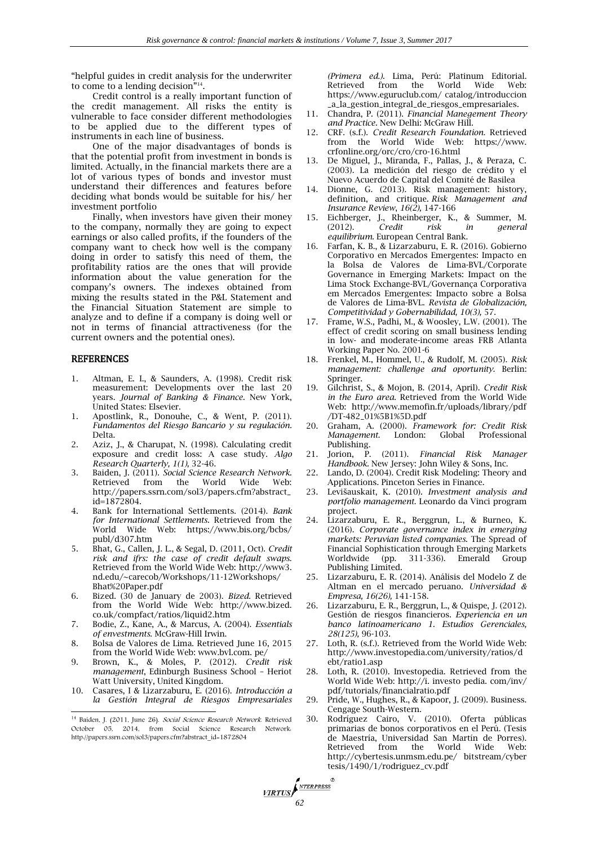"helpful guides in credit analysis for the underwriter to come to a lending decision"<sup>14</sup>.

Credit control is a really important function of the credit management. All risks the entity is vulnerable to face consider different methodologies to be applied due to the different types of instruments in each line of business.

One of the major disadvantages of bonds is that the potential profit from investment in bonds is limited. Actually, in the financial markets there are a lot of various types of bonds and investor must understand their differences and features before deciding what bonds would be suitable for his/ her investment portfolio

Finally, when investors have given their money to the company, normally they are going to expect earnings or also called profits, if the founders of the company want to check how well is the company doing in order to satisfy this need of them, the profitability ratios are the ones that will provide information about the value generation for the company's owners. The indexes obtained from mixing the results stated in the P&L Statement and the Financial Situation Statement are simple to analyze and to define if a company is doing well or not in terms of financial attractiveness (for the current owners and the potential ones).

### REFERENCES

- 1. Altman, E. I., & Saunders, A. (1998). Credit risk measurement: Developments over the last 20 years. *Journal of Banking & Finance.* New York, United States: Elsevier.
- 1. Apostlink, R., Donouhe, C., & Went, P. (2011). *Fundamentos del Riesgo Bancario y su regulación.* Delta.
- 2. Aziz, J., & Charupat, N. (1998). Calculating credit exposure and credit loss: A case study. *Algo Research Quarterly, 1(1),* 32-46.
- 3. Baiden, J. (2011). *Social Science Research Network.* Retrieved from the World Wide Web: [http://papers.ssrn.com/sol3/papers.cfm?abstract\\_](http://papers.ssrn.com/sol3/papers.cfm?abstract_id=1872804) [id=1872804.](http://papers.ssrn.com/sol3/papers.cfm?abstract_id=1872804)
- 4. Bank for International Settlements. (2014). *Bank for International Settlements*. Retrieved from the World Wide Web: [https://www.bis.org/bcbs/](https://www.bis.org/bcbs/%20publ/d307.htm)  [publ/d307.htm](https://www.bis.org/bcbs/%20publ/d307.htm)
- 5. Bhat, G., Callen, J. L., & Segal, D. (2011, Oct). *Credit risk and ifrs: the case of credit default swaps*. Retrieved from the World Wide Web: http://www3. nd.edu/~carecob/Workshops/11-12Workshops/ Bhat%20Paper.pdf
- 6. Bized. (30 de January de 2003). *Bized.* Retrieved from the World Wide Web: [http://www.bized.](http://www.bized.co.uk/compfact/ratios/liquid2.htm) [co.uk/compfact/ratios/liquid2.htm](http://www.bized.co.uk/compfact/ratios/liquid2.htm)
- 7. Bodie, Z., Kane, A., & Marcus, A. (2004). *Essentials of envestments*. McGraw-Hill Irwin.
- 8. Bolsa de Valores de Lima. Retrieved June 16, 2015 from the World Wide Web: www.bvl.com. pe/
- 9. Brown, K., & Moles, P. (2012). *Credit risk management*, Edinburgh Business School – Heriot Watt University, United Kingdom.
- 10. Casares, I & Lizarzaburu, E. (2016). *Introducción a la Gestión Integral de Riesgos Empresariales*   $\overline{a}$

*(Primera ed.).* Lima, Perú: Platinum Editorial. Wide Web: [https://www.eguruclub.com/ catalog/introduccion](https://www.eguruclub.com/%20catalog/introduccion%20_a_la_gestion_integral_de_riesgos_empresariales)  [\\_a\\_la\\_gestion\\_integral\\_de\\_riesgos\\_empresariales.](https://www.eguruclub.com/%20catalog/introduccion%20_a_la_gestion_integral_de_riesgos_empresariales)

- 11. Chandra, P. (2011). *Financial Manegement Theory and Practice*. New Delhi: McGraw Hill.
- 12. CRF. (s.f.). *Credit Research Foundation*. Retrieved from the World Wide Web: [https://www.](https://www/) crfonline.org/orc/cro/cro-16.html
- 13. De Miguel, J., Miranda, F., Pallas, J., & Peraza, C. (2003). La medición del riesgo de crédito y el Nuevo Acuerdo de Capital del Comité de Basilea
- 14. Dionne, G. (2013). Risk management: history, definition, and critique. *Risk Management and Insurance Review*, *16(2),* 147-166
- 15. Eichberger, J., Rheinberger, K., & Summer, M. (2012). Credit risk in general (2012). *Credit risk in general equilibrium.* European Central Bank.
- 16. Farfan, K. B., & Lizarzaburu, E. R. (2016). Gobierno Corporativo en Mercados Emergentes: Impacto en la Bolsa de Valores de Lima-BVL/Corporate Governance in Emerging Markets: Impact on the Lima Stock Exchange-BVL/Governança Corporativa em Mercados Emergentes: Impacto sobre a Bolsa de Valores de Lima-BVL. *Revista de Globalización, Competitividad y Gobernabilidad, 10(3),* 57.
- 17. Frame, W.S., Padhi, M., & Woosley, L.W. (2001). The effect of credit scoring on small business lending in low- and moderate-income areas FRB Atlanta Working Paper No. 2001-6
- 18. Frenkel, M., Hommel, U., & Rudolf, M. (2005). *Risk management: challenge and oportunity.* Berlin: Springer.
- 19. Gilchrist, S., & Mojon, B. (2014, April). *Credit Risk in the Euro area.* Retrieved from the World Wide Web: <http://www.memofin.fr/uploads/library/pdf> /DT-482\_01%5B1%5D.pdf
- 20. Graham, A. (2000). *Framework for: Credit Risk Management.* London: Global Professional Publishing.<br>21. Iorion. P.
- 21. Jorion, P. (2011). *Financial Risk Manager Handbook.* New Jersey: John Wiley & Sons, Inc.
- 22. Lando, D. (2004). Credit Risk Modeling: Theory and Applications. Pinceton Series in Finance.
- 23. Levišauskait, K. (2010). *Investment analysis and portfolio management.* Leonardo da Vinci program project.
- 24. Lizarzaburu, E. R., Berggrun, L., & Burneo, K. (2016). *Corporate governance index in emerging markets: Peruvian listed companies*. The Spread of Financial Sophistication through Emerging Markets 311-336). Emerald Group Publishing Limited.
- 25. Lizarzaburu, E. R. (2014). Análisis del Modelo Z de Altman en el mercado peruano. *Universidad & Empresa, 16(26),* 141-158.
- 26. Lizarzaburu, E. R., Berggrun, L., & Quispe, J. (2012). Gestión de riesgos financieros. *Experiencia en un banco latinoamericano 1. Estudios Gerenciales, 28(125),* 96-103.
- 27. Loth, R. (s.f.). Retrieved from the World Wide Web: http://www.investopedia.com/university/ratios/d ebt/ratio1.asp
- 28. Loth, R. (2010). Investopedia. Retrieved from the World Wide Web: http://i. investo pedia. com/inv/ pdf/tutorials/financialratio.pdf
- 29. Pride, W., Hughes, R., & Kapoor, J. (2009). Business. Cengage South-Western.
- 30. Rodríguez Cairo, V. (2010). Oferta públicas primarias de bonos corporativos en el Perú. (Tesis de Maestría, Universidad San Martín de Porres). Retrieved from the World Wide Web: <http://cybertesis.unmsm.edu.pe/> bitstream/cyber tesis/1490/1/rodriguez\_cv.pdf

**VIRTUS** 

<sup>&</sup>lt;sup>14</sup> Baiden, J. (2011, June 26). *Social Science Research Network*. Retrieved October 05, 2014, from Social Science Research Network: [http://papers.ssrn.com/sol3/papers.cfm?abstract\\_id=1872804](http://papers.ssrn.com/sol3/papers.cfm?abstract_id=1872804)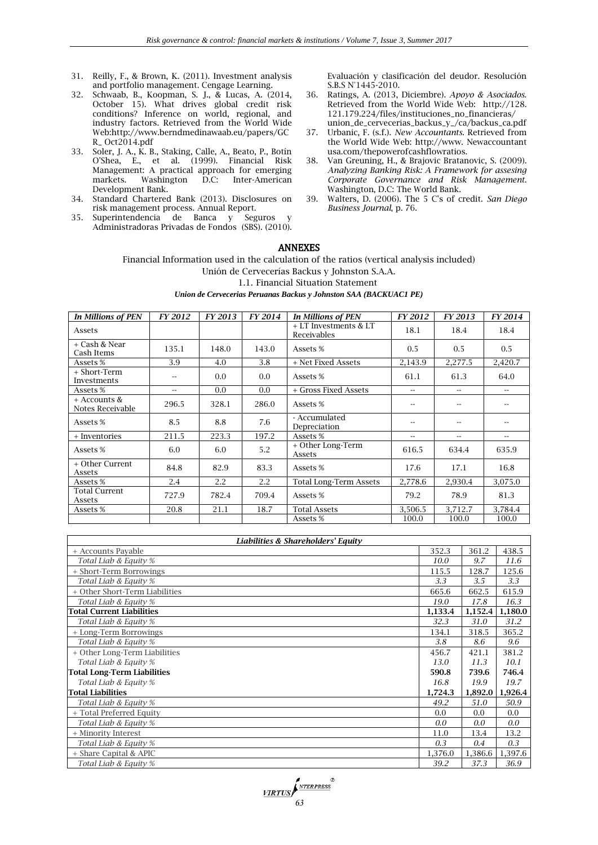- 31. Reilly, F., & Brown, K. (2011). Investment analysis and portfolio management. Cengage Learning.
- 32. Schwaab, B., Koopman, S. J., & Lucas, A. (2014, October 15). What drives global credit risk conditions? Inference on world, regional, and industry factors. Retrieved from the World Wide Web[:http://www.berndmedinawaab.eu/papers/GC](http://www.berndmedinawaab.eu/papers/GCR_) [R\\_](http://www.berndmedinawaab.eu/papers/GCR_) Oct2014.pdf
- 33. Soler, J. A., K. B., Staking, Calle, A., Beato, P., Botín O'Shea, E., et al. (1999). Financial Risk Management: A practical approach for emerging<br>markets. Washington D.C: Inter-American Inter-American Development Bank.
- 34. Standard Chartered Bank (2013). Disclosures on risk management process. Annual Report.
- 35. Superintendencia de Banca y Seguros y Administradoras Privadas de Fondos (SBS). (2010).

Evaluación y clasificación del deudor. Resolución S.B.S N°1445-2010.

- 36. Ratings, A. (2013, Diciembre). *Apoyo & Asociados*. Retrieved from the World Wide Web: http://128. 121.179.224/files/instituciones\_no\_financieras/ union\_de\_cervecerias\_backus\_y\_/ca/backus\_ca.pdf
- 37. Urbanic, F. (s.f.). *New Accountants.* Retrieved from the World Wide Web: [http://www.](http://www/) Newaccountant usa.com/thepowerofcashflowratios.
- 38. Van Greuning, H., & Brajovic Bratanovic, S. (2009). *Analyzing Banking Risk: A Framework for assesing Corporate Governance and Risk Management*. Washington, D.C: The World Bank.
- 39. Walters, D. (2006). The 5 C's of credit. *San Diego Business Journal*, p. 76.

# ANNEXES

Financial Information used in the calculation of the ratios (vertical analysis included)

Unión de Cervecerías Backus y Johnston S.A.A.

1.1. Financial Situation Statement

#### *Union de Cervecerias Peruanas Backus y Johnston SAA (BACKUAC1 PE)*

| <b>In Millions of PEN</b>        | FY 2012 | FY 2013 | FY 2014 | <b>In Millions of PEN</b>            | FY 2012       | FY 2013 | FY 2014                  |
|----------------------------------|---------|---------|---------|--------------------------------------|---------------|---------|--------------------------|
| Assets                           |         |         |         | + LT Investments & LT<br>Receivables | 18.1          | 18.4    | 18.4                     |
| + Cash & Near<br>Cash Items      | 135.1   | 148.0   | 143.0   | Assets %                             | 0.5           | 0.5     | 0.5                      |
| Assets %                         | 3.9     | 4.0     | 3.8     | + Net Fixed Assets                   | 2,143.9       | 2,277.5 | 2,420.7                  |
| + Short-Term<br>Investments      | --      | 0.0     | 0.0     | Assets %                             | 61.1          | 61.3    | 64.0                     |
| Assets %                         | --      | 0.0     | 0.0     | + Gross Fixed Assets                 | $\sim$ $\sim$ | --      | $\overline{\phantom{a}}$ |
| + Accounts &<br>Notes Receivable | 296.5   | 328.1   | 286.0   | Assets %                             | $ -$          | $-$     | $-$                      |
| Assets %                         | 8.5     | 8.8     | 7.6     | - Accumulated<br>Depreciation        | --            | --      |                          |
| + Inventories                    | 211.5   | 223.3   | 197.2   | Assets %                             | $- -$         | $-$     | $\overline{\phantom{a}}$ |
| Assets %                         | 6.0     | 6.0     | 5.2     | + Other Long-Term<br>Assets          | 616.5         | 634.4   | 635.9                    |
| + Other Current<br>Assets        | 84.8    | 82.9    | 83.3    | Assets %                             | 17.6          | 17.1    | 16.8                     |
| Assets %                         | 2.4     | 2.2     | 2.2     | <b>Total Long-Term Assets</b>        | 2,778.6       | 2,930.4 | 3,075.0                  |
| Total Current<br>Assets          | 727.9   | 782.4   | 709.4   | Assets %                             | 79.2          | 78.9    | 81.3                     |
| Assets %                         | 20.8    | 21.1    | 18.7    | <b>Total Assets</b>                  | 3,506.5       | 3,712.7 | 3,784.4                  |
|                                  |         |         |         | Assets %                             | 100.0         | 100.0   | 100.0                    |

| Liabilities & Shareholders' Equity |         |         |         |  |
|------------------------------------|---------|---------|---------|--|
| + Accounts Payable                 | 352.3   | 361.2   | 438.5   |  |
| Total Liab & Equity %              | 10.0    | 9.7     | 11.6    |  |
| + Short-Term Borrowings            | 115.5   | 128.7   | 125.6   |  |
| Total Liab & Equity %              | 3.3     | 3.5     | 3.3     |  |
| + Other Short-Term Liabilities     | 665.6   | 662.5   | 615.9   |  |
| Total Liab & Equity %              | 19.0    | 17.8    | 16.3    |  |
| <b>Total Current Liabilities</b>   | 1,133.4 | 1,152.4 | 1,180.0 |  |
| Total Liab & Equity %              | 32.3    | 31.0    | 31.2    |  |
| + Long-Term Borrowings             | 134.1   | 318.5   | 365.2   |  |
| Total Liab & Equity %              | 3.8     | 8.6     | 9.6     |  |
| + Other Long-Term Liabilities      | 456.7   | 421.1   | 381.2   |  |
| Total Liab & Equity %              | 13.0    | 11.3    | 10.1    |  |
| <b>Total Long-Term Liabilities</b> | 590.8   | 739.6   | 746.4   |  |
| Total Liab & Equity %              | 16.8    | 19.9    | 19.7    |  |
| <b>Total Liabilities</b>           | 1,724.3 | 1,892.0 | 1,926.4 |  |
| Total Liab & Equity %              | 49.2    | 51.0    | 50.9    |  |
| + Total Preferred Equity           | 0.0     | 0.0     | 0.0     |  |
| Total Liab & Equity %              | 0.0     | 0.0     | 0.0     |  |
| + Minority Interest                | 11.0    | 13.4    | 13.2    |  |
| Total Liab & Equity %              | 0.3     | 0.4     | 0.3     |  |
| + Share Capital & APIC             | 1,376.0 | 1,386.6 | 1,397.6 |  |
| Total Liab & Equity %              | 39.2    | 37.3    | 36.9    |  |

**EXPRESS**